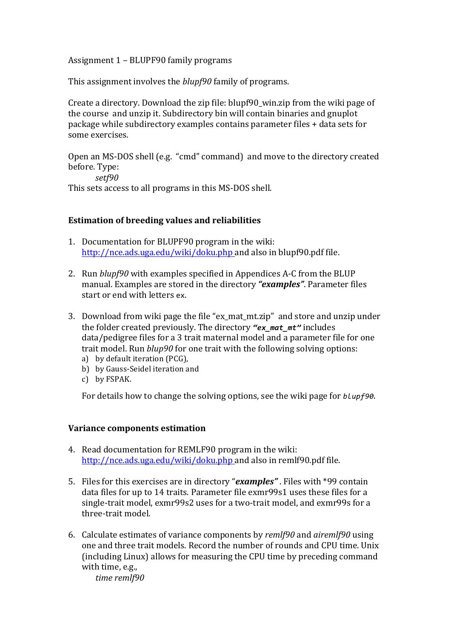Assignment 1 – BLUPF90 family programs

This assignment involves the *blupf90* family of programs.

Create a directory. Download the zip file: blupf90\_win.zip from the wiki page of the course and unzip it. Subdirectory bin will contain binaries and gnuplot package while subdirectory examples contains parameter files + data sets for some exercises.

Open an MS-DOS shell (e.g. "cmd" command) and move to the directory created before. Type: *setf90* 

This sets access to all programs in this MS-DOS shell.

## **Estimation of breeding values and reliabilities**

- 1. Documentation for BLUPF90 program in the wiki: http://nce.ads.uga.edu/wiki/doku.php and also in blupf90.pdf file.
- 2. Run *blupf90* with examples specified in Appendices A-C from the BLUP manual. Examples are stored in the directory "examples". Parameter files start or end with letters ex.
- 3. Download from wiki page the file "ex mat mt.zip" and store and unzip under the folder created previously. The directory "ex\_mat\_mt" includes data/pedigree files for a 3 trait maternal model and a parameter file for one trait model. Run *blup90* for one trait with the following solving options:
	- a) by default iteration (PCG),
	- b) by Gauss-Seidel iteration and
	- c) by FSPAK.

For details how to change the solving options, see the wiki page for *blupf90*.

## **Variance components estimation**

- 4. Read documentation for REMLF90 program in the wiki: http://nce.ads.uga.edu/wiki/doku.php and also in remlf90.pdf file.
- 5. Files for this exercises are in directory "*examples*". Files with \*99 contain data files for up to 14 traits. Parameter file exmr99s1 uses these files for a single-trait model, exmr99s2 uses for a two-trait model, and exmr99s for a three-trait model.
- 6. Calculate estimates of variance components by *remlf90* and *airemlf90* using one and three trait models. Record the number of rounds and CPU time. Unix (including Linux) allows for measuring the CPU time by preceding command with time, e.g.,

*time remlf90*